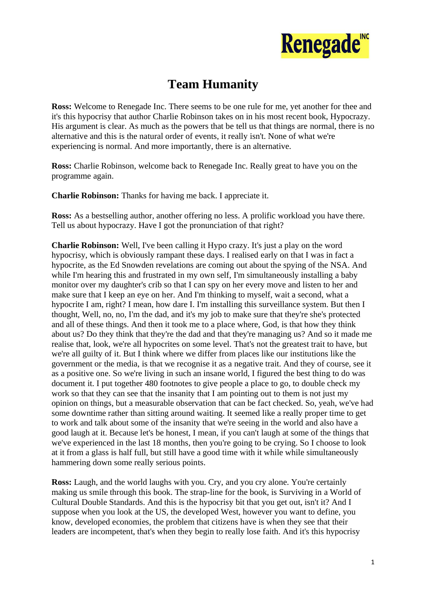

## **Team Humanity**

**Ross:** Welcome to Renegade Inc. There seems to be one rule for me, yet another for thee and it's this hypocrisy that author Charlie Robinson takes on in his most recent book, Hypocrazy. His argument is clear. As much as the powers that be tell us that things are normal, there is no alternative and this is the natural order of events, it really isn't. None of what we're experiencing is normal. And more importantly, there is an alternative.

**Ross:** Charlie Robinson, welcome back to Renegade Inc. Really great to have you on the programme again.

**Charlie Robinson:** Thanks for having me back. I appreciate it.

**Ross:** As a bestselling author, another offering no less. A prolific workload you have there. Tell us about hypocrazy. Have I got the pronunciation of that right?

**Charlie Robinson:** Well, I've been calling it Hypo crazy. It's just a play on the word hypocrisy, which is obviously rampant these days. I realised early on that I was in fact a hypocrite, as the Ed Snowden revelations are coming out about the spying of the NSA. And while I'm hearing this and frustrated in my own self, I'm simultaneously installing a baby monitor over my daughter's crib so that I can spy on her every move and listen to her and make sure that I keep an eye on her. And I'm thinking to myself, wait a second, what a hypocrite I am, right? I mean, how dare I. I'm installing this surveillance system. But then I thought, Well, no, no, I'm the dad, and it's my job to make sure that they're she's protected and all of these things. And then it took me to a place where, God, is that how they think about us? Do they think that they're the dad and that they're managing us? And so it made me realise that, look, we're all hypocrites on some level. That's not the greatest trait to have, but we're all guilty of it. But I think where we differ from places like our institutions like the government or the media, is that we recognise it as a negative trait. And they of course, see it as a positive one. So we're living in such an insane world, I figured the best thing to do was document it. I put together 480 footnotes to give people a place to go, to double check my work so that they can see that the insanity that I am pointing out to them is not just my opinion on things, but a measurable observation that can be fact checked. So, yeah, we've had some downtime rather than sitting around waiting. It seemed like a really proper time to get to work and talk about some of the insanity that we're seeing in the world and also have a good laugh at it. Because let's be honest, I mean, if you can't laugh at some of the things that we've experienced in the last 18 months, then you're going to be crying. So I choose to look at it from a glass is half full, but still have a good time with it while while simultaneously hammering down some really serious points.

**Ross:** Laugh, and the world laughs with you. Cry, and you cry alone. You're certainly making us smile through this book. The strap-line for the book, is Surviving in a World of Cultural Double Standards. And this is the hypocrisy bit that you get out, isn't it? And I suppose when you look at the US, the developed West, however you want to define, you know, developed economies, the problem that citizens have is when they see that their leaders are incompetent, that's when they begin to really lose faith. And it's this hypocrisy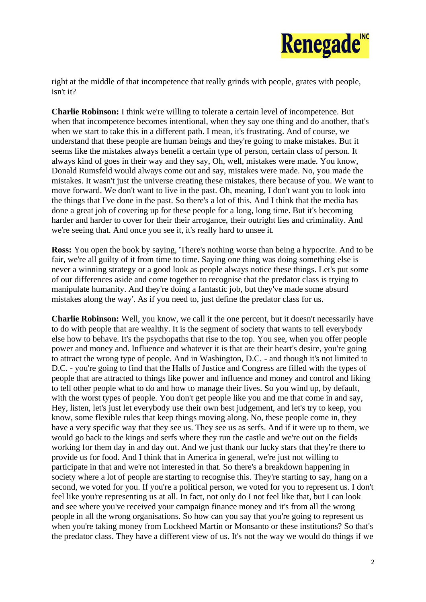

right at the middle of that incompetence that really grinds with people, grates with people, isn't it?

**Charlie Robinson:** I think we're willing to tolerate a certain level of incompetence. But when that incompetence becomes intentional, when they say one thing and do another, that's when we start to take this in a different path. I mean, it's frustrating. And of course, we understand that these people are human beings and they're going to make mistakes. But it seems like the mistakes always benefit a certain type of person, certain class of person. It always kind of goes in their way and they say, Oh, well, mistakes were made. You know, Donald Rumsfeld would always come out and say, mistakes were made. No, you made the mistakes. It wasn't just the universe creating these mistakes, there because of you. We want to move forward. We don't want to live in the past. Oh, meaning, I don't want you to look into the things that I've done in the past. So there's a lot of this. And I think that the media has done a great job of covering up for these people for a long, long time. But it's becoming harder and harder to cover for their their arrogance, their outright lies and criminality. And we're seeing that. And once you see it, it's really hard to unsee it.

**Ross:** You open the book by saying, 'There's nothing worse than being a hypocrite. And to be fair, we're all guilty of it from time to time. Saying one thing was doing something else is never a winning strategy or a good look as people always notice these things. Let's put some of our differences aside and come together to recognise that the predator class is trying to manipulate humanity. And they're doing a fantastic job, but they've made some absurd mistakes along the way'. As if you need to, just define the predator class for us.

**Charlie Robinson:** Well, you know, we call it the one percent, but it doesn't necessarily have to do with people that are wealthy. It is the segment of society that wants to tell everybody else how to behave. It's the psychopaths that rise to the top. You see, when you offer people power and money and. Influence and whatever it is that are their heart's desire, you're going to attract the wrong type of people. And in Washington, D.C. - and though it's not limited to D.C. - you're going to find that the Halls of Justice and Congress are filled with the types of people that are attracted to things like power and influence and money and control and liking to tell other people what to do and how to manage their lives. So you wind up, by default, with the worst types of people. You don't get people like you and me that come in and say, Hey, listen, let's just let everybody use their own best judgement, and let's try to keep, you know, some flexible rules that keep things moving along. No, these people come in, they have a very specific way that they see us. They see us as serfs. And if it were up to them, we would go back to the kings and serfs where they run the castle and we're out on the fields working for them day in and day out. And we just thank our lucky stars that they're there to provide us for food. And I think that in America in general, we're just not willing to participate in that and we're not interested in that. So there's a breakdown happening in society where a lot of people are starting to recognise this. They're starting to say, hang on a second, we voted for you. If you're a political person, we voted for you to represent us. I don't feel like you're representing us at all. In fact, not only do I not feel like that, but I can look and see where you've received your campaign finance money and it's from all the wrong people in all the wrong organisations. So how can you say that you're going to represent us when you're taking money from Lockheed Martin or Monsanto or these institutions? So that's the predator class. They have a different view of us. It's not the way we would do things if we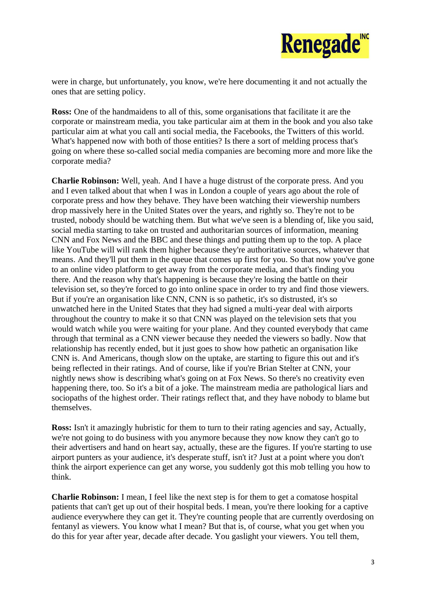

were in charge, but unfortunately, you know, we're here documenting it and not actually the ones that are setting policy.

**Ross:** One of the handmaidens to all of this, some organisations that facilitate it are the corporate or mainstream media, you take particular aim at them in the book and you also take particular aim at what you call anti social media, the Facebooks, the Twitters of this world. What's happened now with both of those entities? Is there a sort of melding process that's going on where these so-called social media companies are becoming more and more like the corporate media?

**Charlie Robinson:** Well, yeah. And I have a huge distrust of the corporate press. And you and I even talked about that when I was in London a couple of years ago about the role of corporate press and how they behave. They have been watching their viewership numbers drop massively here in the United States over the years, and rightly so. They're not to be trusted, nobody should be watching them. But what we've seen is a blending of, like you said, social media starting to take on trusted and authoritarian sources of information, meaning CNN and Fox News and the BBC and these things and putting them up to the top. A place like YouTube will will rank them higher because they're authoritative sources, whatever that means. And they'll put them in the queue that comes up first for you. So that now you've gone to an online video platform to get away from the corporate media, and that's finding you there. And the reason why that's happening is because they're losing the battle on their television set, so they're forced to go into online space in order to try and find those viewers. But if you're an organisation like CNN, CNN is so pathetic, it's so distrusted, it's so unwatched here in the United States that they had signed a multi-year deal with airports throughout the country to make it so that CNN was played on the television sets that you would watch while you were waiting for your plane. And they counted everybody that came through that terminal as a CNN viewer because they needed the viewers so badly. Now that relationship has recently ended, but it just goes to show how pathetic an organisation like CNN is. And Americans, though slow on the uptake, are starting to figure this out and it's being reflected in their ratings. And of course, like if you're Brian Stelter at CNN, your nightly news show is describing what's going on at Fox News. So there's no creativity even happening there, too. So it's a bit of a joke. The mainstream media are pathological liars and sociopaths of the highest order. Their ratings reflect that, and they have nobody to blame but themselves.

**Ross:** Isn't it amazingly hubristic for them to turn to their rating agencies and say, Actually, we're not going to do business with you anymore because they now know they can't go to their advertisers and hand on heart say, actually, these are the figures. If you're starting to use airport punters as your audience, it's desperate stuff, isn't it? Just at a point where you don't think the airport experience can get any worse, you suddenly got this mob telling you how to think.

**Charlie Robinson:** I mean, I feel like the next step is for them to get a comatose hospital patients that can't get up out of their hospital beds. I mean, you're there looking for a captive audience everywhere they can get it. They're counting people that are currently overdosing on fentanyl as viewers. You know what I mean? But that is, of course, what you get when you do this for year after year, decade after decade. You gaslight your viewers. You tell them,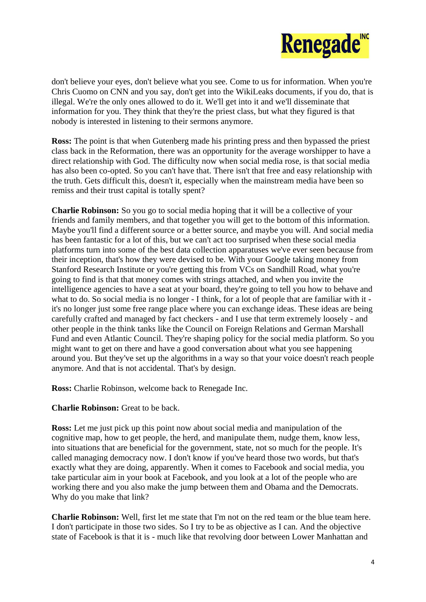

don't believe your eyes, don't believe what you see. Come to us for information. When you're Chris Cuomo on CNN and you say, don't get into the WikiLeaks documents, if you do, that is illegal. We're the only ones allowed to do it. We'll get into it and we'll disseminate that information for you. They think that they're the priest class, but what they figured is that nobody is interested in listening to their sermons anymore.

**Ross:** The point is that when Gutenberg made his printing press and then bypassed the priest class back in the Reformation, there was an opportunity for the average worshipper to have a direct relationship with God. The difficulty now when social media rose, is that social media has also been co-opted. So you can't have that. There isn't that free and easy relationship with the truth. Gets difficult this, doesn't it, especially when the mainstream media have been so remiss and their trust capital is totally spent?

**Charlie Robinson:** So you go to social media hoping that it will be a collective of your friends and family members, and that together you will get to the bottom of this information. Maybe you'll find a different source or a better source, and maybe you will. And social media has been fantastic for a lot of this, but we can't act too surprised when these social media platforms turn into some of the best data collection apparatuses we've ever seen because from their inception, that's how they were devised to be. With your Google taking money from Stanford Research Institute or you're getting this from VCs on Sandhill Road, what you're going to find is that that money comes with strings attached, and when you invite the intelligence agencies to have a seat at your board, they're going to tell you how to behave and what to do. So social media is no longer - I think, for a lot of people that are familiar with it it's no longer just some free range place where you can exchange ideas. These ideas are being carefully crafted and managed by fact checkers - and I use that term extremely loosely - and other people in the think tanks like the Council on Foreign Relations and German Marshall Fund and even Atlantic Council. They're shaping policy for the social media platform. So you might want to get on there and have a good conversation about what you see happening around you. But they've set up the algorithms in a way so that your voice doesn't reach people anymore. And that is not accidental. That's by design.

**Ross:** Charlie Robinson, welcome back to Renegade Inc.

**Charlie Robinson:** Great to be back.

**Ross:** Let me just pick up this point now about social media and manipulation of the cognitive map, how to get people, the herd, and manipulate them, nudge them, know less, into situations that are beneficial for the government, state, not so much for the people. It's called managing democracy now. I don't know if you've heard those two words, but that's exactly what they are doing, apparently. When it comes to Facebook and social media, you take particular aim in your book at Facebook, and you look at a lot of the people who are working there and you also make the jump between them and Obama and the Democrats. Why do you make that link?

**Charlie Robinson:** Well, first let me state that I'm not on the red team or the blue team here. I don't participate in those two sides. So I try to be as objective as I can. And the objective state of Facebook is that it is - much like that revolving door between Lower Manhattan and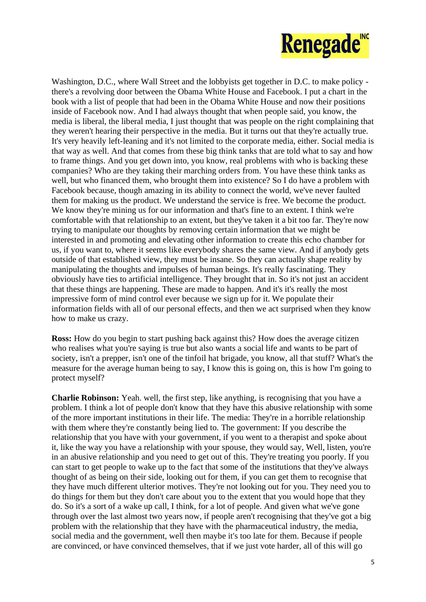

Washington, D.C., where Wall Street and the lobbyists get together in D.C. to make policy there's a revolving door between the Obama White House and Facebook. I put a chart in the book with a list of people that had been in the Obama White House and now their positions inside of Facebook now. And I had always thought that when people said, you know, the media is liberal, the liberal media, I just thought that was people on the right complaining that they weren't hearing their perspective in the media. But it turns out that they're actually true. It's very heavily left-leaning and it's not limited to the corporate media, either. Social media is that way as well. And that comes from these big think tanks that are told what to say and how to frame things. And you get down into, you know, real problems with who is backing these companies? Who are they taking their marching orders from. You have these think tanks as well, but who financed them, who brought them into existence? So I do have a problem with Facebook because, though amazing in its ability to connect the world, we've never faulted them for making us the product. We understand the service is free. We become the product. We know they're mining us for our information and that's fine to an extent. I think we're comfortable with that relationship to an extent, but they've taken it a bit too far. They're now trying to manipulate our thoughts by removing certain information that we might be interested in and promoting and elevating other information to create this echo chamber for us, if you want to, where it seems like everybody shares the same view. And if anybody gets outside of that established view, they must be insane. So they can actually shape reality by manipulating the thoughts and impulses of human beings. It's really fascinating. They obviously have ties to artificial intelligence. They brought that in. So it's not just an accident that these things are happening. These are made to happen. And it's it's really the most impressive form of mind control ever because we sign up for it. We populate their information fields with all of our personal effects, and then we act surprised when they know how to make us crazy.

**Ross:** How do you begin to start pushing back against this? How does the average citizen who realises what you're saying is true but also wants a social life and wants to be part of society, isn't a prepper, isn't one of the tinfoil hat brigade, you know, all that stuff? What's the measure for the average human being to say, I know this is going on, this is how I'm going to protect myself?

**Charlie Robinson:** Yeah. well, the first step, like anything, is recognising that you have a problem. I think a lot of people don't know that they have this abusive relationship with some of the more important institutions in their life. The media: They're in a horrible relationship with them where they're constantly being lied to. The government: If you describe the relationship that you have with your government, if you went to a therapist and spoke about it, like the way you have a relationship with your spouse, they would say, Well, listen, you're in an abusive relationship and you need to get out of this. They're treating you poorly. If you can start to get people to wake up to the fact that some of the institutions that they've always thought of as being on their side, looking out for them, if you can get them to recognise that they have much different ulterior motives. They're not looking out for you. They need you to do things for them but they don't care about you to the extent that you would hope that they do. So it's a sort of a wake up call, I think, for a lot of people. And given what we've gone through over the last almost two years now, if people aren't recognising that they've got a big problem with the relationship that they have with the pharmaceutical industry, the media, social media and the government, well then maybe it's too late for them. Because if people are convinced, or have convinced themselves, that if we just vote harder, all of this will go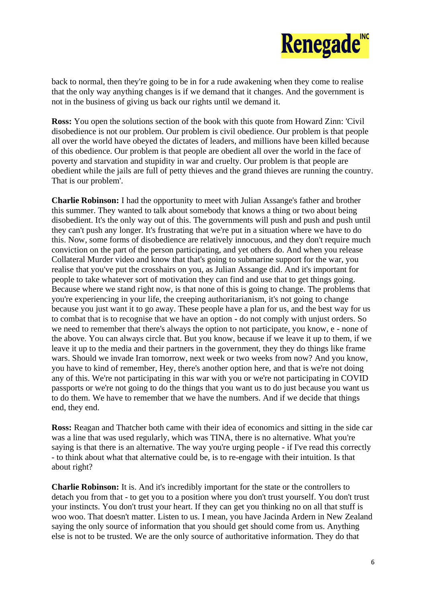

back to normal, then they're going to be in for a rude awakening when they come to realise that the only way anything changes is if we demand that it changes. And the government is not in the business of giving us back our rights until we demand it.

**Ross:** You open the solutions section of the book with this quote from Howard Zinn: 'Civil disobedience is not our problem. Our problem is civil obedience. Our problem is that people all over the world have obeyed the dictates of leaders, and millions have been killed because of this obedience. Our problem is that people are obedient all over the world in the face of poverty and starvation and stupidity in war and cruelty. Our problem is that people are obedient while the jails are full of petty thieves and the grand thieves are running the country. That is our problem'.

**Charlie Robinson:** I had the opportunity to meet with Julian Assange's father and brother this summer. They wanted to talk about somebody that knows a thing or two about being disobedient. It's the only way out of this. The governments will push and push and push until they can't push any longer. It's frustrating that we're put in a situation where we have to do this. Now, some forms of disobedience are relatively innocuous, and they don't require much conviction on the part of the person participating, and yet others do. And when you release Collateral Murder video and know that that's going to submarine support for the war, you realise that you've put the crosshairs on you, as Julian Assange did. And it's important for people to take whatever sort of motivation they can find and use that to get things going. Because where we stand right now, is that none of this is going to change. The problems that you're experiencing in your life, the creeping authoritarianism, it's not going to change because you just want it to go away. These people have a plan for us, and the best way for us to combat that is to recognise that we have an option - do not comply with unjust orders. So we need to remember that there's always the option to not participate, you know, e - none of the above. You can always circle that. But you know, because if we leave it up to them, if we leave it up to the media and their partners in the government, they they do things like frame wars. Should we invade Iran tomorrow, next week or two weeks from now? And you know, you have to kind of remember, Hey, there's another option here, and that is we're not doing any of this. We're not participating in this war with you or we're not participating in COVID passports or we're not going to do the things that you want us to do just because you want us to do them. We have to remember that we have the numbers. And if we decide that things end, they end.

**Ross:** Reagan and Thatcher both came with their idea of economics and sitting in the side car was a line that was used regularly, which was TINA, there is no alternative. What you're saying is that there is an alternative. The way you're urging people - if I've read this correctly - to think about what that alternative could be, is to re-engage with their intuition. Is that about right?

**Charlie Robinson:** It is. And it's incredibly important for the state or the controllers to detach you from that - to get you to a position where you don't trust yourself. You don't trust your instincts. You don't trust your heart. If they can get you thinking no on all that stuff is woo woo. That doesn't matter. Listen to us. I mean, you have Jacinda Ardern in New Zealand saying the only source of information that you should get should come from us. Anything else is not to be trusted. We are the only source of authoritative information. They do that